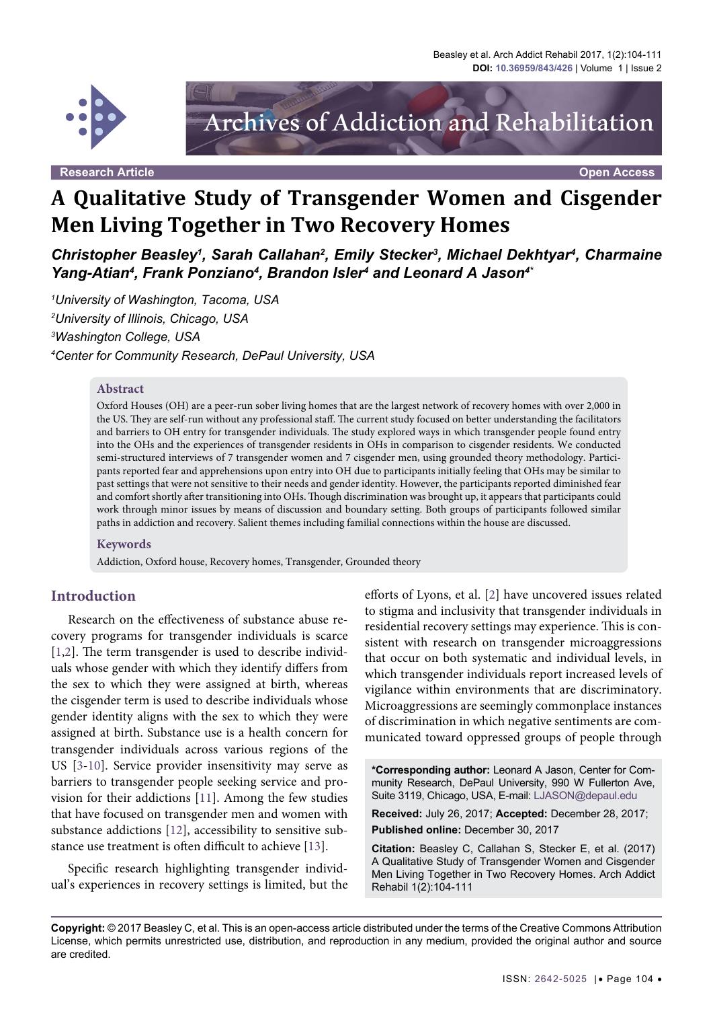

# Archives of Addiction and Rehabilitation

**Research Article Open Access**

# **A Qualitative Study of Transgender Women and Cisgender Men Living Together in Two Recovery Homes**

*Christopher Beasley1 , Sarah Callahan2 , Emily Stecker3 , Michael Dekhtyar4 , Charmaine Yang-Atian4 , Frank Ponziano4 , Brandon Isler4 and Leonard A Jason4\**

 *University of Washington, Tacoma, USA University of Illinois, Chicago, USA Washington College, USA Center for Community Research, DePaul University, USA*

#### **Abstract**

Oxford Houses (OH) are a peer-run sober living homes that are the largest network of recovery homes with over 2,000 in the US. They are self-run without any professional staff. The current study focused on better understanding the facilitators and barriers to OH entry for transgender individuals. The study explored ways in which transgender people found entry into the OHs and the experiences of transgender residents in OHs in comparison to cisgender residents. We conducted semi-structured interviews of 7 transgender women and 7 cisgender men, using grounded theory methodology. Participants reported fear and apprehensions upon entry into OH due to participants initially feeling that OHs may be similar to past settings that were not sensitive to their needs and gender identity. However, the participants reported diminished fear and comfort shortly after transitioning into OHs. Though discrimination was brought up, it appears that participants could work through minor issues by means of discussion and boundary setting. Both groups of participants followed similar paths in addiction and recovery. Salient themes including familial connections within the house are discussed.

#### **Keywords**

Addiction, Oxford house, Recovery homes, Transgender, Grounded theory

#### **Introduction**

Research on the effectiveness of substance abuse recovery programs for transgender individuals is scarce [\[1,](#page-7-0)[2](#page-7-1)]. The term transgender is used to describe individuals whose gender with which they identify differs from the sex to which they were assigned at birth, whereas the cisgender term is used to describe individuals whose gender identity aligns with the sex to which they were assigned at birth. Substance use is a health concern for transgender individuals across various regions of the US [\[3](#page-7-2)[-10\]](#page-7-3). Service provider insensitivity may serve as barriers to transgender people seeking service and provision for their addictions [[11](#page-7-4)]. Among the few studies that have focused on transgender men and women with substance addictions [[12](#page-7-5)], accessibility to sensitive substance use treatment is often difficult to achieve [\[13\]](#page-7-6).

Specific research highlighting transgender individual's experiences in recovery settings is limited, but the efforts of Lyons, et al. [\[2\]](#page-7-1) have uncovered issues related to stigma and inclusivity that transgender individuals in residential recovery settings may experience. This is consistent with research on transgender microaggressions that occur on both systematic and individual levels, in which transgender individuals report increased levels of vigilance within environments that are discriminatory. Microaggressions are seemingly commonplace instances of discrimination in which negative sentiments are communicated toward oppressed groups of people through

**\*Corresponding author:** Leonard A Jason, Center for Community Research, DePaul University, 990 W Fullerton Ave, Suite 3119, Chicago, USA, E-mail: LJASON@depaul.edu

**Received:** July 26, 2017; **Accepted:** December 28, 2017; **Published online:** December 30, 2017

**Citation:** Beasley C, Callahan S, Stecker E, et al. (2017) A Qualitative Study of Transgender Women and Cisgender Men Living Together in Two Recovery Homes. Arch Addict Rehabil 1(2):104-111

**Copyright:** © 2017 Beasley C, et al. This is an open-access article distributed under the terms of the Creative Commons Attribution License, which permits unrestricted use, distribution, and reproduction in any medium, provided the original author and source are credited.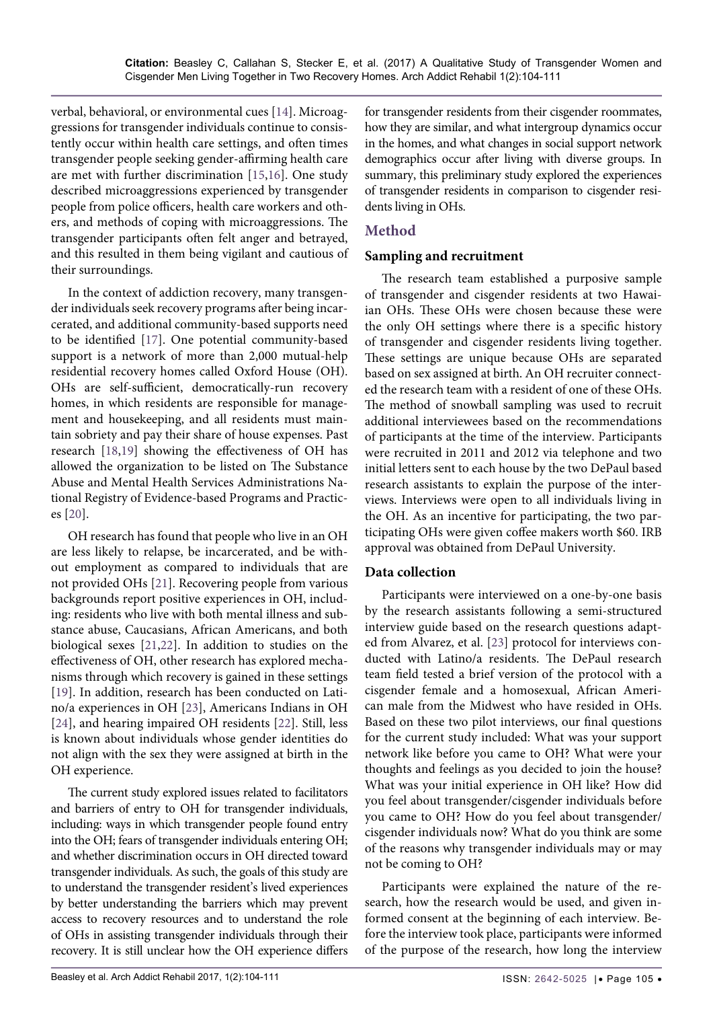verbal, behavioral, or environmental cues [\[14\]](#page-7-8). Microaggressions for transgender individuals continue to consistently occur within health care settings, and often times transgender people seeking gender-affirming health care are met with further discrimination [[15](#page-7-9),[16](#page-7-10)]. One study described microaggressions experienced by transgender people from police officers, health care workers and others, and methods of coping with microaggressions. The transgender participants often felt anger and betrayed, and this resulted in them being vigilant and cautious of their surroundings.

In the context of addiction recovery, many transgender individuals seek recovery programs after being incarcerated, and additional community-based supports need to be identified [\[17\]](#page-7-11). One potential community-based support is a network of more than 2,000 mutual-help residential recovery homes called Oxford House (OH). OHs are self-sufficient, democratically-run recovery homes, in which residents are responsible for management and housekeeping, and all residents must maintain sobriety and pay their share of house expenses. Past research [\[18,](#page-7-12)[19\]](#page-7-13) showing the effectiveness of OH has allowed the organization to be listed on The Substance Abuse and Mental Health Services Administrations National Registry of Evidence-based Programs and Practices [[20](#page-7-14)].

OH research has found that people who live in an OH are less likely to relapse, be incarcerated, and be without employment as compared to individuals that are not provided OHs [[21](#page-7-15)]. Recovering people from various backgrounds report positive experiences in OH, including: residents who live with both mental illness and substance abuse, Caucasians, African Americans, and both biological sexes [[21,](#page-7-15)[22\]](#page-7-16). In addition to studies on the effectiveness of OH, other research has explored mechanisms through which recovery is gained in these settings [\[19\]](#page-7-13). In addition, research has been conducted on Latino/a experiences in OH [\[23\]](#page-7-7), Americans Indians in OH [\[24\]](#page-7-17), and hearing impaired OH residents [\[22\]](#page-7-16). Still, less is known about individuals whose gender identities do not align with the sex they were assigned at birth in the OH experience.

The current study explored issues related to facilitators and barriers of entry to OH for transgender individuals, including: ways in which transgender people found entry into the OH; fears of transgender individuals entering OH; and whether discrimination occurs in OH directed toward transgender individuals. As such, the goals of this study are to understand the transgender resident's lived experiences by better understanding the barriers which may prevent access to recovery resources and to understand the role of OHs in assisting transgender individuals through their recovery. It is still unclear how the OH experience differs

for transgender residents from their cisgender roommates, how they are similar, and what intergroup dynamics occur in the homes, and what changes in social support network demographics occur after living with diverse groups. In summary, this preliminary study explored the experiences of transgender residents in comparison to cisgender residents living in OHs.

### **Method**

#### **Sampling and recruitment**

The research team established a purposive sample of transgender and cisgender residents at two Hawaiian OHs. These OHs were chosen because these were the only OH settings where there is a specific history of transgender and cisgender residents living together. These settings are unique because OHs are separated based on sex assigned at birth. An OH recruiter connected the research team with a resident of one of these OHs. The method of snowball sampling was used to recruit additional interviewees based on the recommendations of participants at the time of the interview. Participants were recruited in 2011 and 2012 via telephone and two initial letters sent to each house by the two DePaul based research assistants to explain the purpose of the interviews. Interviews were open to all individuals living in the OH. As an incentive for participating, the two participating OHs were given coffee makers worth \$60. IRB approval was obtained from DePaul University.

### **Data collection**

Participants were interviewed on a one-by-one basis by the research assistants following a semi-structured interview guide based on the research questions adapted from Alvarez, et al. [\[23\]](#page-7-7) protocol for interviews conducted with Latino/a residents. The DePaul research team field tested a brief version of the protocol with a cisgender female and a homosexual, African American male from the Midwest who have resided in OHs. Based on these two pilot interviews, our final questions for the current study included: What was your support network like before you came to OH? What were your thoughts and feelings as you decided to join the house? What was your initial experience in OH like? How did you feel about transgender/cisgender individuals before you came to OH? How do you feel about transgender/ cisgender individuals now? What do you think are some of the reasons why transgender individuals may or may not be coming to OH?

Participants were explained the nature of the research, how the research would be used, and given informed consent at the beginning of each interview. Before the interview took place, participants were informed of the purpose of the research, how long the interview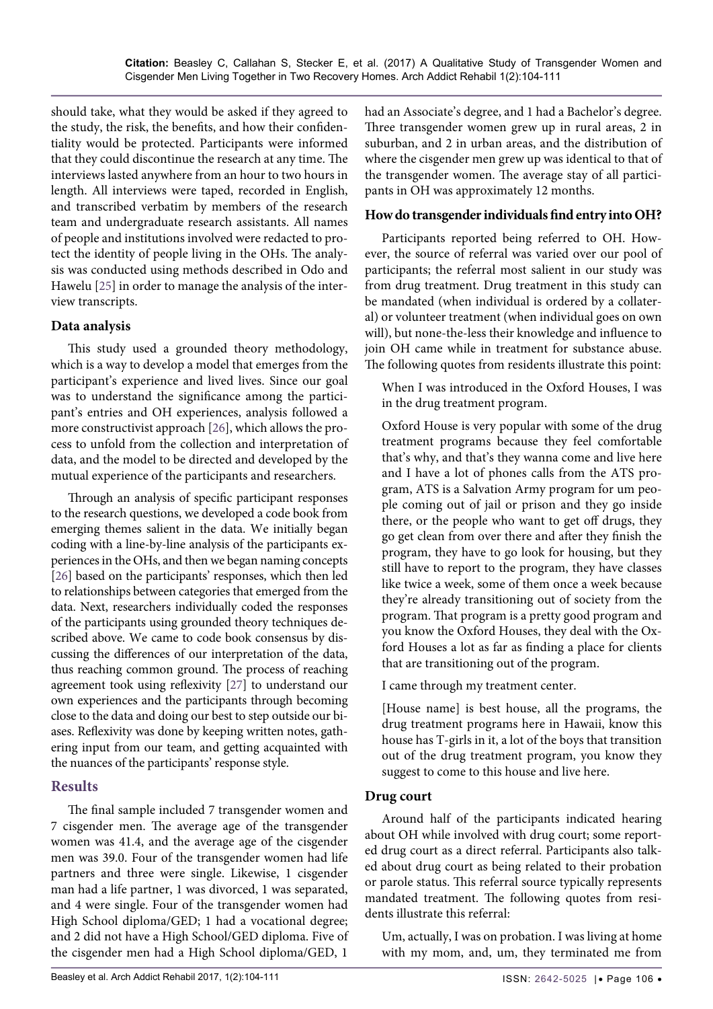should take, what they would be asked if they agreed to the study, the risk, the benefits, and how their confidentiality would be protected. Participants were informed that they could discontinue the research at any time. The interviews lasted anywhere from an hour to two hours in length. All interviews were taped, recorded in English, and transcribed verbatim by members of the research team and undergraduate research assistants. All names of people and institutions involved were redacted to protect the identity of people living in the OHs. The analysis was conducted using methods described in Odo and Hawelu [[25](#page-7-18)] in order to manage the analysis of the interview transcripts.

#### **Data analysis**

This study used a grounded theory methodology, which is a way to develop a model that emerges from the participant's experience and lived lives. Since our goal was to understand the significance among the participant's entries and OH experiences, analysis followed a more constructivist approach [\[26](#page-7-19)], which allows the process to unfold from the collection and interpretation of data, and the model to be directed and developed by the mutual experience of the participants and researchers.

Through an analysis of specific participant responses to the research questions, we developed a code book from emerging themes salient in the data. We initially began coding with a line-by-line analysis of the participants experiences in the OHs, and then we began naming concepts [\[26\]](#page-7-19) based on the participants' responses, which then led to relationships between categories that emerged from the data. Next, researchers individually coded the responses of the participants using grounded theory techniques described above. We came to code book consensus by discussing the differences of our interpretation of the data, thus reaching common ground. The process of reaching agreement took using reflexivity [\[27](#page-7-20)] to understand our own experiences and the participants through becoming close to the data and doing our best to step outside our biases. Reflexivity was done by keeping written notes, gathering input from our team, and getting acquainted with the nuances of the participants' response style.

### **Results**

The final sample included 7 transgender women and 7 cisgender men. The average age of the transgender women was 41.4, and the average age of the cisgender men was 39.0. Four of the transgender women had life partners and three were single. Likewise, 1 cisgender man had a life partner, 1 was divorced, 1 was separated, and 4 were single. Four of the transgender women had High School diploma/GED; 1 had a vocational degree; and 2 did not have a High School/GED diploma. Five of the cisgender men had a High School diploma/GED, 1 had an Associate's degree, and 1 had a Bachelor's degree. Three transgender women grew up in rural areas, 2 in suburban, and 2 in urban areas, and the distribution of where the cisgender men grew up was identical to that of the transgender women. The average stay of all participants in OH was approximately 12 months.

#### **How do transgender individuals find entry into OH?**

Participants reported being referred to OH. However, the source of referral was varied over our pool of participants; the referral most salient in our study was from drug treatment. Drug treatment in this study can be mandated (when individual is ordered by a collateral) or volunteer treatment (when individual goes on own will), but none-the-less their knowledge and influence to join OH came while in treatment for substance abuse. The following quotes from residents illustrate this point:

When I was introduced in the Oxford Houses, I was in the drug treatment program.

Oxford House is very popular with some of the drug treatment programs because they feel comfortable that's why, and that's they wanna come and live here and I have a lot of phones calls from the ATS program, ATS is a Salvation Army program for um people coming out of jail or prison and they go inside there, or the people who want to get off drugs, they go get clean from over there and after they finish the program, they have to go look for housing, but they still have to report to the program, they have classes like twice a week, some of them once a week because they're already transitioning out of society from the program. That program is a pretty good program and you know the Oxford Houses, they deal with the Oxford Houses a lot as far as finding a place for clients that are transitioning out of the program.

I came through my treatment center.

[House name] is best house, all the programs, the drug treatment programs here in Hawaii, know this house has T-girls in it, a lot of the boys that transition out of the drug treatment program, you know they suggest to come to this house and live here.

#### **Drug court**

Around half of the participants indicated hearing about OH while involved with drug court; some reported drug court as a direct referral. Participants also talked about drug court as being related to their probation or parole status. This referral source typically represents mandated treatment. The following quotes from residents illustrate this referral:

Um, actually, I was on probation. I was living at home with my mom, and, um, they terminated me from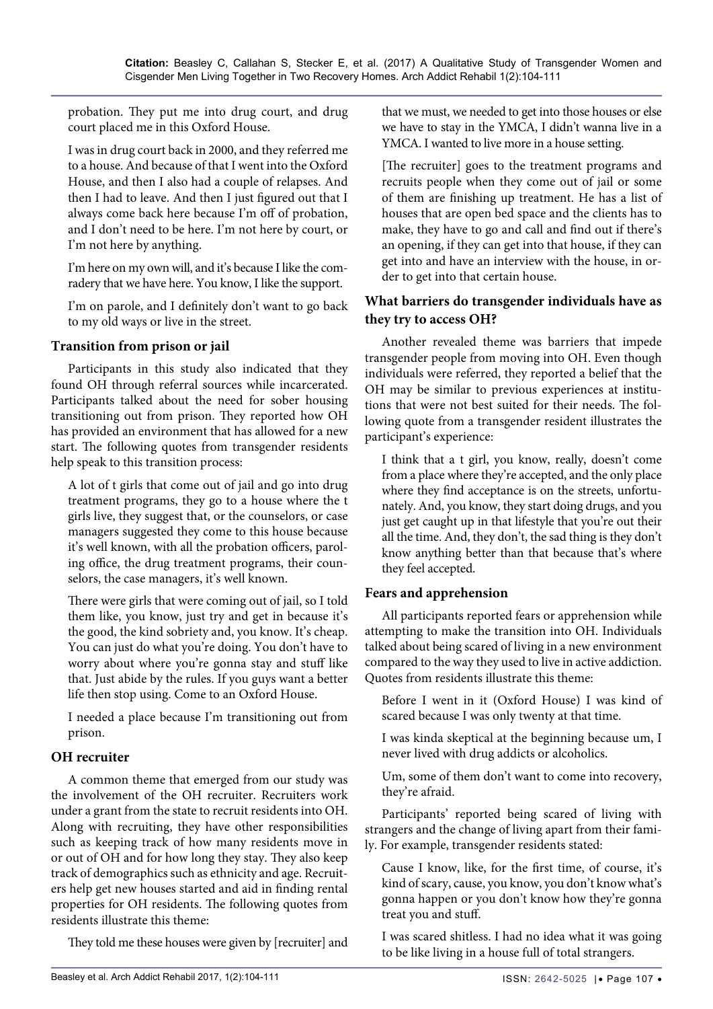probation. They put me into drug court, and drug court placed me in this Oxford House.

I was in drug court back in 2000, and they referred me to a house. And because of that I went into the Oxford House, and then I also had a couple of relapses. And then I had to leave. And then I just figured out that I always come back here because I'm off of probation, and I don't need to be here. I'm not here by court, or I'm not here by anything.

I'm here on my own will, and it's because I like the comradery that we have here. You know, I like the support.

I'm on parole, and I definitely don't want to go back to my old ways or live in the street.

#### **Transition from prison or jail**

Participants in this study also indicated that they found OH through referral sources while incarcerated. Participants talked about the need for sober housing transitioning out from prison. They reported how OH has provided an environment that has allowed for a new start. The following quotes from transgender residents help speak to this transition process:

A lot of t girls that come out of jail and go into drug treatment programs, they go to a house where the t girls live, they suggest that, or the counselors, or case managers suggested they come to this house because it's well known, with all the probation officers, paroling office, the drug treatment programs, their counselors, the case managers, it's well known.

There were girls that were coming out of jail, so I told them like, you know, just try and get in because it's the good, the kind sobriety and, you know. It's cheap. You can just do what you're doing. You don't have to worry about where you're gonna stay and stuff like that. Just abide by the rules. If you guys want a better life then stop using. Come to an Oxford House.

I needed a place because I'm transitioning out from prison.

### **OH recruiter**

A common theme that emerged from our study was the involvement of the OH recruiter. Recruiters work under a grant from the state to recruit residents into OH. Along with recruiting, they have other responsibilities such as keeping track of how many residents move in or out of OH and for how long they stay. They also keep track of demographics such as ethnicity and age. Recruiters help get new houses started and aid in finding rental properties for OH residents. The following quotes from residents illustrate this theme:

They told me these houses were given by [recruiter] and

that we must, we needed to get into those houses or else we have to stay in the YMCA, I didn't wanna live in a YMCA. I wanted to live more in a house setting.

[The recruiter] goes to the treatment programs and recruits people when they come out of jail or some of them are finishing up treatment. He has a list of houses that are open bed space and the clients has to make, they have to go and call and find out if there's an opening, if they can get into that house, if they can get into and have an interview with the house, in order to get into that certain house.

#### **What barriers do transgender individuals have as they try to access OH?**

Another revealed theme was barriers that impede transgender people from moving into OH. Even though individuals were referred, they reported a belief that the OH may be similar to previous experiences at institutions that were not best suited for their needs. The following quote from a transgender resident illustrates the participant's experience:

I think that a t girl, you know, really, doesn't come from a place where they're accepted, and the only place where they find acceptance is on the streets, unfortunately. And, you know, they start doing drugs, and you just get caught up in that lifestyle that you're out their all the time. And, they don't, the sad thing is they don't know anything better than that because that's where they feel accepted.

### **Fears and apprehension**

All participants reported fears or apprehension while attempting to make the transition into OH. Individuals talked about being scared of living in a new environment compared to the way they used to live in active addiction. Quotes from residents illustrate this theme:

Before I went in it (Oxford House) I was kind of scared because I was only twenty at that time.

I was kinda skeptical at the beginning because um, I never lived with drug addicts or alcoholics.

Um, some of them don't want to come into recovery, they're afraid.

Participants' reported being scared of living with strangers and the change of living apart from their family. For example, transgender residents stated:

Cause I know, like, for the first time, of course, it's kind of scary, cause, you know, you don't know what's gonna happen or you don't know how they're gonna treat you and stuff.

I was scared shitless. I had no idea what it was going to be like living in a house full of total strangers.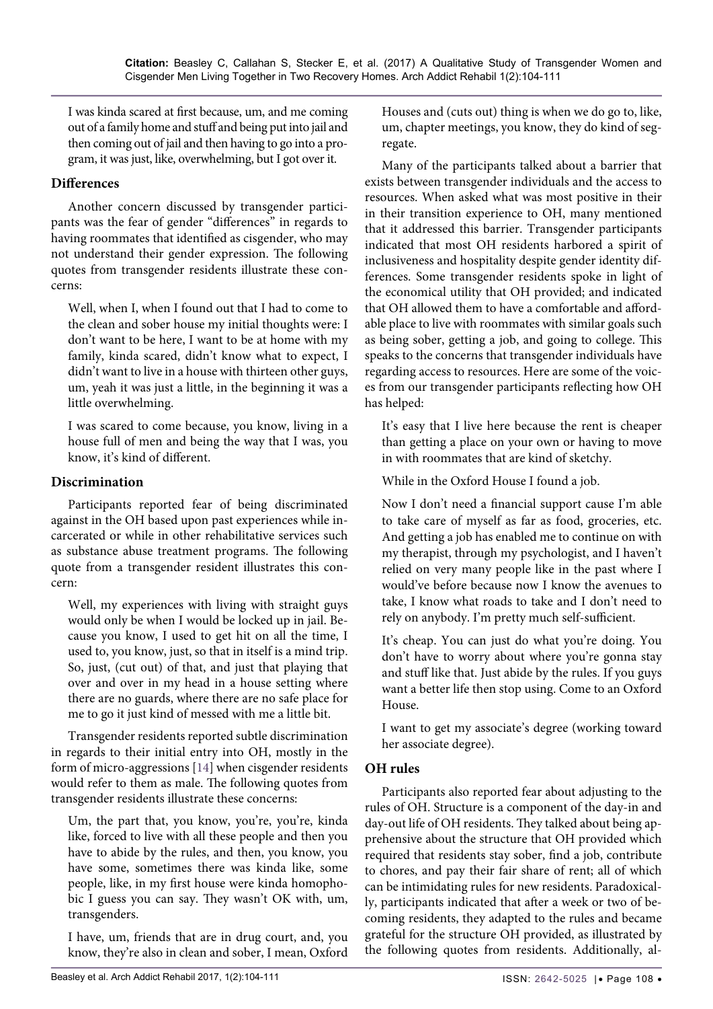I was kinda scared at first because, um, and me coming out of a family home and stuff and being put into jail and then coming out of jail and then having to go into a program, it was just, like, overwhelming, but I got over it.

#### **Differences**

Another concern discussed by transgender participants was the fear of gender "differences" in regards to having roommates that identified as cisgender, who may not understand their gender expression. The following quotes from transgender residents illustrate these concerns:

Well, when I, when I found out that I had to come to the clean and sober house my initial thoughts were: I don't want to be here, I want to be at home with my family, kinda scared, didn't know what to expect, I didn't want to live in a house with thirteen other guys, um, yeah it was just a little, in the beginning it was a little overwhelming.

I was scared to come because, you know, living in a house full of men and being the way that I was, you know, it's kind of different.

#### **Discrimination**

Participants reported fear of being discriminated against in the OH based upon past experiences while incarcerated or while in other rehabilitative services such as substance abuse treatment programs. The following quote from a transgender resident illustrates this concern:

Well, my experiences with living with straight guys would only be when I would be locked up in jail. Because you know, I used to get hit on all the time, I used to, you know, just, so that in itself is a mind trip. So, just, (cut out) of that, and just that playing that over and over in my head in a house setting where there are no guards, where there are no safe place for me to go it just kind of messed with me a little bit.

Transgender residents reported subtle discrimination in regards to their initial entry into OH, mostly in the form of micro-aggressions [\[14\]](#page-7-8) when cisgender residents would refer to them as male. The following quotes from transgender residents illustrate these concerns:

Um, the part that, you know, you're, you're, kinda like, forced to live with all these people and then you have to abide by the rules, and then, you know, you have some, sometimes there was kinda like, some people, like, in my first house were kinda homophobic I guess you can say. They wasn't OK with, um, transgenders.

I have, um, friends that are in drug court, and, you know, they're also in clean and sober, I mean, Oxford Houses and (cuts out) thing is when we do go to, like, um, chapter meetings, you know, they do kind of segregate.

Many of the participants talked about a barrier that exists between transgender individuals and the access to resources. When asked what was most positive in their in their transition experience to OH, many mentioned that it addressed this barrier. Transgender participants indicated that most OH residents harbored a spirit of inclusiveness and hospitality despite gender identity differences. Some transgender residents spoke in light of the economical utility that OH provided; and indicated that OH allowed them to have a comfortable and affordable place to live with roommates with similar goals such as being sober, getting a job, and going to college. This speaks to the concerns that transgender individuals have regarding access to resources. Here are some of the voices from our transgender participants reflecting how OH has helped:

It's easy that I live here because the rent is cheaper than getting a place on your own or having to move in with roommates that are kind of sketchy.

While in the Oxford House I found a job.

Now I don't need a financial support cause I'm able to take care of myself as far as food, groceries, etc. And getting a job has enabled me to continue on with my therapist, through my psychologist, and I haven't relied on very many people like in the past where I would've before because now I know the avenues to take, I know what roads to take and I don't need to rely on anybody. I'm pretty much self-sufficient.

It's cheap. You can just do what you're doing. You don't have to worry about where you're gonna stay and stuff like that. Just abide by the rules. If you guys want a better life then stop using. Come to an Oxford House.

I want to get my associate's degree (working toward her associate degree).

### **OH rules**

Participants also reported fear about adjusting to the rules of OH. Structure is a component of the day-in and day-out life of OH residents. They talked about being apprehensive about the structure that OH provided which required that residents stay sober, find a job, contribute to chores, and pay their fair share of rent; all of which can be intimidating rules for new residents. Paradoxically, participants indicated that after a week or two of becoming residents, they adapted to the rules and became grateful for the structure OH provided, as illustrated by the following quotes from residents. Additionally, al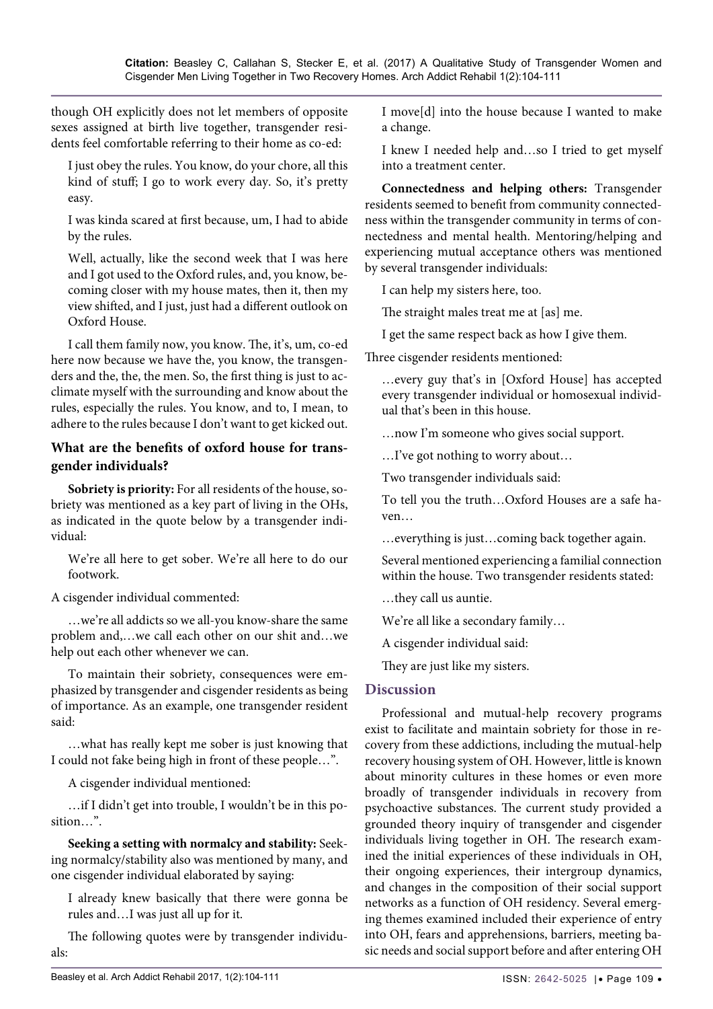though OH explicitly does not let members of opposite sexes assigned at birth live together, transgender residents feel comfortable referring to their home as co-ed:

I just obey the rules. You know, do your chore, all this kind of stuff; I go to work every day. So, it's pretty easy.

I was kinda scared at first because, um, I had to abide by the rules.

Well, actually, like the second week that I was here and I got used to the Oxford rules, and, you know, becoming closer with my house mates, then it, then my view shifted, and I just, just had a different outlook on Oxford House.

I call them family now, you know. The, it's, um, co-ed here now because we have the, you know, the transgenders and the, the, the men. So, the first thing is just to acclimate myself with the surrounding and know about the rules, especially the rules. You know, and to, I mean, to adhere to the rules because I don't want to get kicked out.

## **What are the benefits of oxford house for transgender individuals?**

**Sobriety is priority:** For all residents of the house, sobriety was mentioned as a key part of living in the OHs, as indicated in the quote below by a transgender individual:

We're all here to get sober. We're all here to do our footwork.

A cisgender individual commented:

…we're all addicts so we all-you know-share the same problem and,…we call each other on our shit and…we help out each other whenever we can.

To maintain their sobriety, consequences were emphasized by transgender and cisgender residents as being of importance. As an example, one transgender resident said:

…what has really kept me sober is just knowing that I could not fake being high in front of these people…".

A cisgender individual mentioned:

…if I didn't get into trouble, I wouldn't be in this position…".

**Seeking a setting with normalcy and stability:** Seeking normalcy/stability also was mentioned by many, and one cisgender individual elaborated by saying:

I already knew basically that there were gonna be rules and…I was just all up for it.

The following quotes were by transgender individuals:

I move[d] into the house because I wanted to make a change.

I knew I needed help and…so I tried to get myself into a treatment center.

**Connectedness and helping others:** Transgender residents seemed to benefit from community connectedness within the transgender community in terms of connectedness and mental health. Mentoring/helping and experiencing mutual acceptance others was mentioned by several transgender individuals:

I can help my sisters here, too.

The straight males treat me at [as] me.

I get the same respect back as how I give them*.*

Three cisgender residents mentioned:

…every guy that's in [Oxford House] has accepted every transgender individual or homosexual individual that's been in this house.

…now I'm someone who gives social support.

…I've got nothing to worry about…

Two transgender individuals said:

To tell you the truth…Oxford Houses are a safe haven…

…everything is just…coming back together again.

Several mentioned experiencing a familial connection within the house. Two transgender residents stated:

…they call us auntie.

We're all like a secondary family…

A cisgender individual said:

They are just like my sisters.

### **Discussion**

Professional and mutual-help recovery programs exist to facilitate and maintain sobriety for those in recovery from these addictions, including the mutual-help recovery housing system of OH. However, little is known about minority cultures in these homes or even more broadly of transgender individuals in recovery from psychoactive substances. The current study provided a grounded theory inquiry of transgender and cisgender individuals living together in OH. The research examined the initial experiences of these individuals in OH, their ongoing experiences, their intergroup dynamics, and changes in the composition of their social support networks as a function of OH residency. Several emerging themes examined included their experience of entry into OH, fears and apprehensions, barriers, meeting basic needs and social support before and after entering OH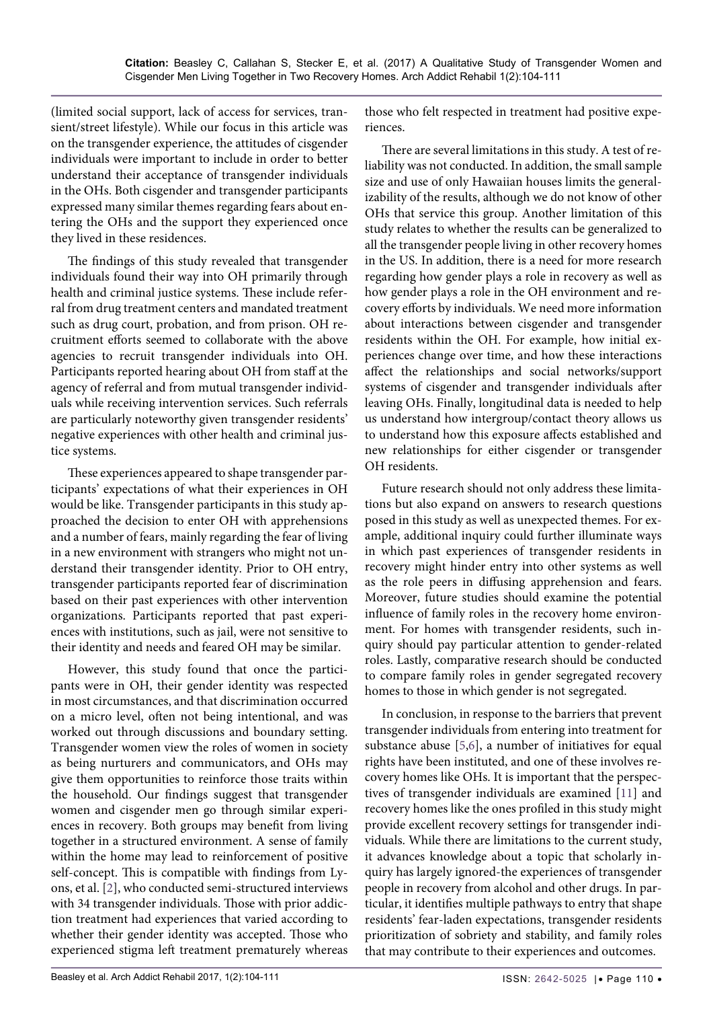(limited social support, lack of access for services, transient/street lifestyle). While our focus in this article was on the transgender experience, the attitudes of cisgender individuals were important to include in order to better understand their acceptance of transgender individuals in the OHs. Both cisgender and transgender participants expressed many similar themes regarding fears about entering the OHs and the support they experienced once they lived in these residences.

The findings of this study revealed that transgender individuals found their way into OH primarily through health and criminal justice systems. These include referral from drug treatment centers and mandated treatment such as drug court, probation, and from prison. OH recruitment efforts seemed to collaborate with the above agencies to recruit transgender individuals into OH. Participants reported hearing about OH from staff at the agency of referral and from mutual transgender individuals while receiving intervention services. Such referrals are particularly noteworthy given transgender residents' negative experiences with other health and criminal justice systems.

These experiences appeared to shape transgender participants' expectations of what their experiences in OH would be like. Transgender participants in this study approached the decision to enter OH with apprehensions and a number of fears, mainly regarding the fear of living in a new environment with strangers who might not understand their transgender identity. Prior to OH entry, transgender participants reported fear of discrimination based on their past experiences with other intervention organizations. Participants reported that past experiences with institutions, such as jail, were not sensitive to their identity and needs and feared OH may be similar.

However, this study found that once the participants were in OH, their gender identity was respected in most circumstances, and that discrimination occurred on a micro level, often not being intentional, and was worked out through discussions and boundary setting. Transgender women view the roles of women in society as being nurturers and communicators, and OHs may give them opportunities to reinforce those traits within the household. Our findings suggest that transgender women and cisgender men go through similar experiences in recovery. Both groups may benefit from living together in a structured environment. A sense of family within the home may lead to reinforcement of positive self-concept. This is compatible with findings from Lyons, et al. [\[2](#page-7-1)], who conducted semi-structured interviews with 34 transgender individuals. Those with prior addiction treatment had experiences that varied according to whether their gender identity was accepted. Those who experienced stigma left treatment prematurely whereas

those who felt respected in treatment had positive experiences.

There are several limitations in this study. A test of reliability was not conducted. In addition, the small sample size and use of only Hawaiian houses limits the generalizability of the results, although we do not know of other OHs that service this group. Another limitation of this study relates to whether the results can be generalized to all the transgender people living in other recovery homes in the US. In addition, there is a need for more research regarding how gender plays a role in recovery as well as how gender plays a role in the OH environment and recovery efforts by individuals. We need more information about interactions between cisgender and transgender residents within the OH. For example, how initial experiences change over time, and how these interactions affect the relationships and social networks/support systems of cisgender and transgender individuals after leaving OHs. Finally, longitudinal data is needed to help us understand how intergroup/contact theory allows us to understand how this exposure affects established and new relationships for either cisgender or transgender OH residents.

Future research should not only address these limitations but also expand on answers to research questions posed in this study as well as unexpected themes. For example, additional inquiry could further illuminate ways in which past experiences of transgender residents in recovery might hinder entry into other systems as well as the role peers in diffusing apprehension and fears. Moreover, future studies should examine the potential influence of family roles in the recovery home environment. For homes with transgender residents, such inquiry should pay particular attention to gender-related roles. Lastly, comparative research should be conducted to compare family roles in gender segregated recovery homes to those in which gender is not segregated.

In conclusion, in response to the barriers that prevent transgender individuals from entering into treatment for substance abuse [[5](#page-7-21)[,6\]](#page-7-22), a number of initiatives for equal rights have been instituted, and one of these involves recovery homes like OHs. It is important that the perspectives of transgender individuals are examined [\[11\]](#page-7-4) and recovery homes like the ones profiled in this study might provide excellent recovery settings for transgender individuals. While there are limitations to the current study, it advances knowledge about a topic that scholarly inquiry has largely ignored-the experiences of transgender people in recovery from alcohol and other drugs. In particular, it identifies multiple pathways to entry that shape residents' fear-laden expectations, transgender residents prioritization of sobriety and stability, and family roles that may contribute to their experiences and outcomes.